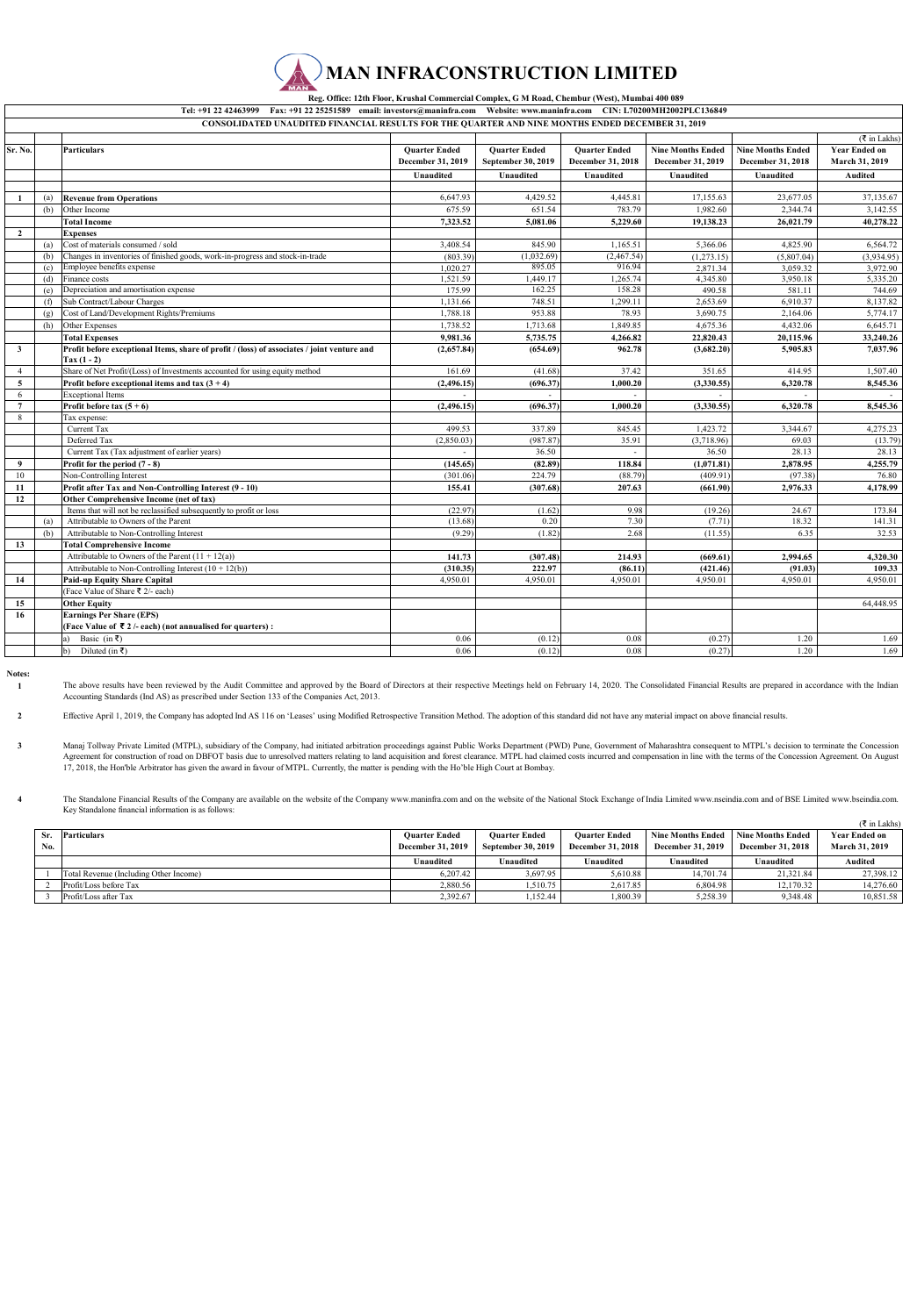## **MAN INFRACONSTRUCTION LIMITED**

 **Reg. Office: 12th Floor, Krushal Commercial Complex, G M Road, Chembur (West), Mumbai 400 089** 

|                         | Tel: +91 22 42463999 Fax: +91 22 25251589 email: investors@maninfra.com Website: www.maninfra.com CIN: L70200MH2002PLC136849 |                                                                                                              |                      |                      |                      |                          |                          |                      |  |
|-------------------------|------------------------------------------------------------------------------------------------------------------------------|--------------------------------------------------------------------------------------------------------------|----------------------|----------------------|----------------------|--------------------------|--------------------------|----------------------|--|
|                         |                                                                                                                              | CONSOLIDATED UNAUDITED FINANCIAL RESULTS FOR THE QUARTER AND NINE MONTHS ENDED DECEMBER 31, 2019             |                      |                      |                      |                          |                          |                      |  |
|                         |                                                                                                                              |                                                                                                              |                      |                      |                      |                          |                          | ( ₹ in Lakhs)        |  |
| Sr. No.                 |                                                                                                                              | <b>Particulars</b>                                                                                           | <b>Quarter Ended</b> | <b>Ouarter Ended</b> | <b>Quarter Ended</b> | <b>Nine Months Ended</b> | <b>Nine Months Ended</b> | <b>Year Ended on</b> |  |
|                         |                                                                                                                              |                                                                                                              | December 31, 2019    | September 30, 2019   | December 31, 2018    | December 31, 2019        | December 31, 2018        | March 31, 2019       |  |
|                         |                                                                                                                              |                                                                                                              | Unaudited            | Unaudited            | Unaudited            | Unaudited                | Unaudited                | Audited              |  |
|                         |                                                                                                                              |                                                                                                              |                      |                      |                      |                          |                          |                      |  |
|                         | (a)                                                                                                                          | <b>Revenue from Operations</b>                                                                               | 6,647.93             | 4,429.52             | 4,445.81             | 17,155.63                | 23,677.05                | 37,135.67            |  |
|                         | (b)                                                                                                                          | Other Income                                                                                                 | 675.59               | 651.54               | 783.79               | 1,982.60                 | 2,344.74                 | 3,142.55             |  |
|                         |                                                                                                                              | <b>Total Income</b>                                                                                          | 7,323.52             | 5,081.06             | 5,229.60             | 19,138.23                | 26,021.79                | 40,278.22            |  |
| $\overline{2}$          |                                                                                                                              | <b>Expenses</b>                                                                                              |                      |                      |                      |                          |                          |                      |  |
|                         | (a)                                                                                                                          | Cost of materials consumed / sold                                                                            | 3,408.54             | 845.90               | 1.165.51             | 5,366.06                 | 4,825.90                 | 6,564.72             |  |
|                         | (b)                                                                                                                          | Changes in inventories of finished goods, work-in-progress and stock-in-trade                                | (803.39)             | (1,032.69)           | (2,467.54)           | (1,273.15)               | (5,807.04)               | (3,934.95)           |  |
|                         | (c)                                                                                                                          | Employee benefits expense                                                                                    | 1.020.27             | 895.05               | 916.94               | 2.871.34                 | 3.059.32                 | 3,972.90             |  |
|                         | (d)                                                                                                                          | Finance costs                                                                                                | 1.521.59             | 1,449.17             | 1.265.74             | 4,345.80                 | 3.950.18                 | 5,335.20             |  |
|                         | (e)                                                                                                                          | Depreciation and amortisation expense                                                                        | 175.99               | 162.25               | 158.28               | 490.58                   | 581.11                   | 744.69               |  |
|                         | (f)                                                                                                                          | Sub Contract/Labour Charges                                                                                  | 1,131.66             | 748.51               | 1,299.11             | 2,653.69                 | 6.910.37                 | 8,137.82             |  |
|                         | (g)                                                                                                                          | Cost of Land/Development Rights/Premiums                                                                     | 1,788.18             | 953.88               | 78.93                | 3,690.75                 | 2,164.06                 | 5,774.17             |  |
|                         | (h)                                                                                                                          | Other Expenses                                                                                               | 1,738.52             | 1,713.68             | 1,849.85             | 4,675.36                 | 4,432.06                 | 6,645.71             |  |
|                         |                                                                                                                              | <b>Total Expenses</b>                                                                                        | 9,981.36             | 5,735.75             | 4,266.82             | 22,820.43                | 20,115.96                | 33,240.26            |  |
| $\overline{\mathbf{3}}$ |                                                                                                                              | Profit before exceptional Items, share of profit / (loss) of associates / joint venture and<br>$Tax (1 - 2)$ | (2,657.84)           | (654.69)             | 962.78               | (3,682.20)               | 5.905.83                 | 7,037.96             |  |
| $\overline{4}$          |                                                                                                                              | Share of Net Profit/(Loss) of Investments accounted for using equity method                                  | 161.69               | (41.68)              | 37.42                | 351.65                   | 414.95                   | 1,507.40             |  |
| 5                       |                                                                                                                              | Profit before exceptional items and tax $(3 + 4)$                                                            | (2, 496.15)          | (696.37)             | 1,000.20             | (3,330.55)               | 6,320.78                 | 8,545.36             |  |
| 6                       |                                                                                                                              | <b>Exceptional Items</b>                                                                                     |                      |                      |                      |                          |                          |                      |  |
| $\overline{7}$          |                                                                                                                              | Profit before tax $(5 + 6)$                                                                                  | (2.496.15)           | (696.37)             | 1.000.20             | (3.330.55)               | 6.320.78                 | 8,545.36             |  |
| 8                       |                                                                                                                              | Tax expense:                                                                                                 |                      |                      |                      |                          |                          |                      |  |
|                         |                                                                                                                              | Current Tax                                                                                                  | 499.53               | 337.89               | 845.45               | 1.423.72                 | 3,344.67                 | 4,275.23             |  |
|                         |                                                                                                                              | Deferred Tax                                                                                                 | (2,850.03)           | (987.87              | 35.91                | (3,718.96)               | 69.03                    | (13.79)              |  |
|                         |                                                                                                                              | Current Tax (Tax adjustment of earlier years)                                                                |                      | 36.50                |                      | 36.50                    | 28.13                    | 28.13                |  |
| 9                       |                                                                                                                              | Profit for the period (7 - 8)                                                                                | (145.65)             | (82.89)              | 118.84               | (1,071.81)               | 2,878.95                 | 4,255.79             |  |
| 10                      |                                                                                                                              | Non-Controlling Interest                                                                                     | (301.06)             | 224.79               | (88.79)              | (409.91)                 | (97.38)                  | 76.80                |  |
| 11                      |                                                                                                                              | Profit after Tax and Non-Controlling Interest (9 - 10)                                                       | 155.41               | (307.68)             | 207.63               | (661.90)                 | 2.976.33                 | 4,178.99             |  |
| 12                      |                                                                                                                              | Other Comprehensive Income (net of tax)                                                                      |                      |                      |                      |                          |                          |                      |  |
|                         |                                                                                                                              | Items that will not be reclassified subsequently to profit or loss                                           | (22.97)              | (1.62)               | 9.98                 | (19.26)                  | 24.67                    | 173.84               |  |
|                         | (a)                                                                                                                          | Attributable to Owners of the Parent                                                                         | (13.68)              | 0.20                 | 7.30                 | (7.71)                   | 18.32                    | 141.31               |  |
|                         | (b)                                                                                                                          | Attributable to Non-Controlling Interest                                                                     | (9.29)               | (1.82)               | 2.68                 | (11.55)                  | 6.35                     | 32.53                |  |
| 13                      |                                                                                                                              | <b>Total Comprehensive Income</b>                                                                            |                      |                      |                      |                          |                          |                      |  |
|                         |                                                                                                                              | Attributable to Owners of the Parent $(11 + 12(a))$                                                          | 141.73               | (307.48)             | 214.93               | (669.61)                 | 2.994.65                 | 4.320.30             |  |
|                         |                                                                                                                              | Attributable to Non-Controlling Interest $(10 + 12(b))$                                                      | (310.35)             | 222.97               | (86.11)              | (421.46)                 | (91.03)                  | 109.33               |  |
| 14                      |                                                                                                                              | <b>Paid-up Equity Share Capital</b>                                                                          | 4.950.01             | 4,950.01             | 4.950.01             | 4,950.01                 | 4,950.01                 | 4.950.01             |  |
|                         |                                                                                                                              | (Face Value of Share ₹ 2/- each)                                                                             |                      |                      |                      |                          |                          |                      |  |
| 15                      |                                                                                                                              | <b>Other Equity</b>                                                                                          |                      |                      |                      |                          |                          | 64,448.95            |  |
| 16                      |                                                                                                                              | <b>Earnings Per Share (EPS)</b>                                                                              |                      |                      |                      |                          |                          |                      |  |
|                         |                                                                                                                              | (Face Value of $\bar{\tau}$ 2 /- each) (not annualised for quarters):                                        |                      |                      |                      |                          |                          |                      |  |
|                         |                                                                                                                              | Basic (in ₹)                                                                                                 | 0.06                 | (0.12)               | 0.08                 | (0.27)                   | 1.20                     | 1.69                 |  |
|                         |                                                                                                                              | Diluted (in ₹)<br>$\mathbf{b}$                                                                               | 0.06                 | (0.12)               | 0.08                 | (0.27)                   | 1.20                     | 1.69                 |  |

**Notes: 1**

**4**

The above results have been reviewed by the Audit Committee and approved by the Board of Directors at their respective Meetings held on February 14, 2020. The Consolidated Financial Results are prepared in accordance with Accounting Standards (Ind AS) as prescribed under Section 133 of the Companies Act, 2013.

**2** Effective April 1, 2019, the Company has adopted Ind AS 116 on 'Leases' using Modified Retrospective Transition Method. The adoption of this standard did not have any material impact on above financial results.

**3** Manaj Tollway Private Limited (MTPL), subsidiary of the Company, had initiated arbitration proceedings against Public Works Department (PWD) Pune, Government of Maharashtra consequent to MTPL's decision to terminate the Co

The Standalone Financial Results of the Company are available on the website of the Company www.maninfra.com and on the website of the National Stock Exchange of India Limited www.mseindia.com and of BSE Limited www.bseind

|     | <b>Particulars</b>                     | <b>Ouarter Ended</b>     | <b>Ouarter Ended</b> | <b>Ouarter Ended</b> | <b>Nine Months Ended</b> | <b>Nine Months Ended</b> | <b>Year Ended on</b> |
|-----|----------------------------------------|--------------------------|----------------------|----------------------|--------------------------|--------------------------|----------------------|
| No. |                                        | <b>December 31, 2019</b> | September 30, 2019   | December 31, 2018    | <b>December 31, 2019</b> | <b>December 31, 2018</b> | March 31, 2019       |
|     |                                        | Unaudited                | Unaudited            | Unaudited            | Unaudited                | Unaudited                | Audited              |
|     | Total Revenue (Including Other Income) | 6.207.42                 | 3.697.95             | 5.610.88             | 14,701.74                | 21.321.84                | 27,398.12            |
|     | Profit/Loss before Tax                 | 2.880.56                 | 1.510.75             | 2.617.85             | 6.804.98                 | 12.170.32                | 14,276.60            |
|     | Profit/Loss after Tax                  | 2.392.67                 | 1.152.44             | 1,800.39             | 5.258.39                 | 9,348.48                 | 10.851.58            |

 $(\mathcal{F}$  in Lakhe)